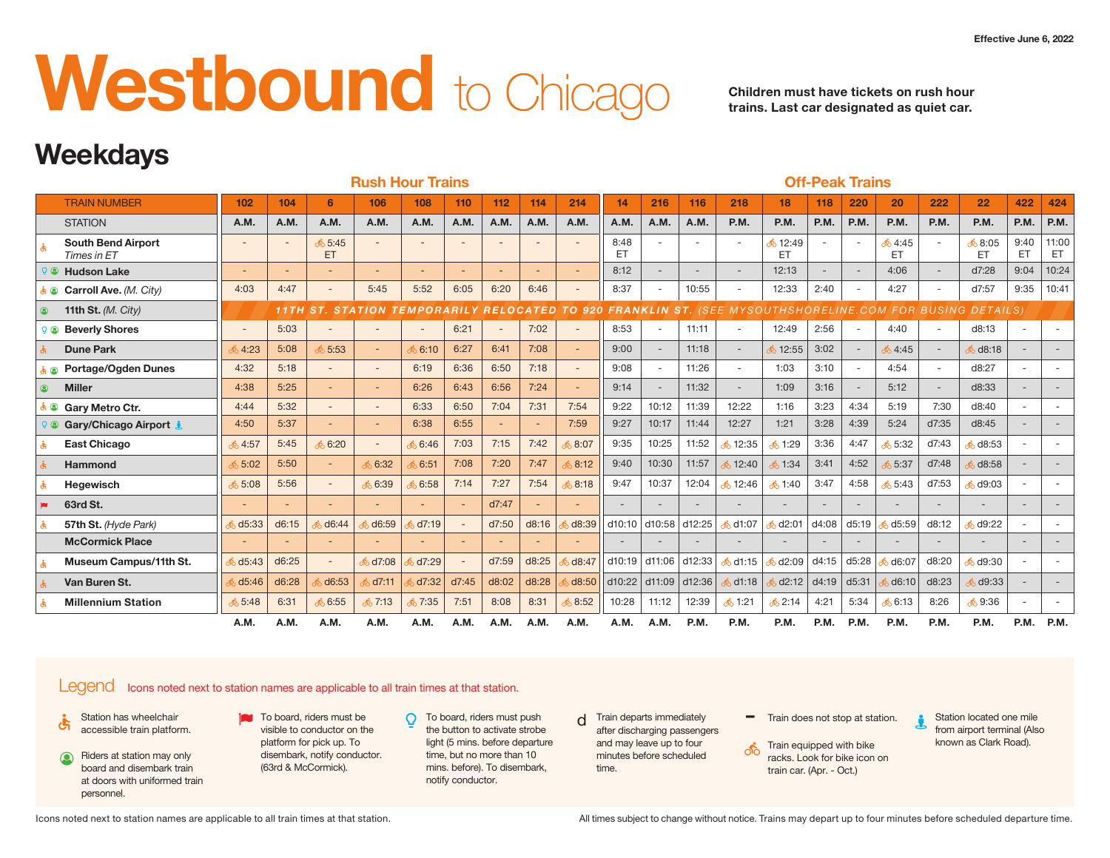# **Westboound** to Chicago **Children must have tickets on rush hour**

**trains. Last car designated as quiet car.**

## **Weekdays**

|                                          |                     |                          |                          | <b>Rush Hour Trains</b>                                 |        |                           |                     |                |       |                                                                  |               |        |                          |                       |                          | <b>Off-Peak Trains</b>          |                            |        |                                               |        |                    |
|------------------------------------------|---------------------|--------------------------|--------------------------|---------------------------------------------------------|--------|---------------------------|---------------------|----------------|-------|------------------------------------------------------------------|---------------|--------|--------------------------|-----------------------|--------------------------|---------------------------------|----------------------------|--------|-----------------------------------------------|--------|--------------------|
| <b>TRAIN NUMBER</b>                      | 102                 | 104                      |                          | 106                                                     | 108    | 110                       | 112                 | 114            | 214   | 14                                                               | 216           | 116    | 218                      | 18 <sup>1</sup>       | 118                      | 220                             | 20                         | 222    | 22                                            | 422    | 424                |
| <b>STATION</b>                           | A.M.                | A.M                      | A.M.                     | A.M.                                                    | A.M.   | A.M.                      | A.M.                | A.M.           | A.M.  | A.M.                                                             | A.M.          | A.M.   | P.M.                     | P.M.                  | <b>P.M.</b>              | $ $ P.M.                        | P.M.                       | P.M.   | P.M.                                          |        | $P.M.$ P.M.        |
| <b>South Bend Airport</b><br>Times in ET | $\sim$              | $\overline{\phantom{0}}$ | 65:45<br>ET              |                                                         |        |                           |                     | $\overline{a}$ |       | 8:48<br>ET                                                       |               | $\sim$ | $\sim$                   | <b>6</b> 12:49<br>ET. |                          | $\sim$                          | ஃ 4:45<br>ET               |        | 68:05<br>ET.                                  | ET     | $9:40$ 11:00<br>ET |
| <b>Hudson Lake</b>                       |                     | $\overline{\phantom{a}}$ | $\sim$                   |                                                         |        |                           | $\sim$              |                |       | 8:12                                                             |               | $\sim$ | $\overline{\phantom{0}}$ | 12:13                 | $\overline{\phantom{a}}$ | $\overline{\phantom{a}}$        | 4:06                       |        | d7:28                                         |        | $9:04$   10:24     |
| Carroll Ave. (M. City)                   | 4:03                | 4:47                     | $\overline{\phantom{a}}$ | 5:45                                                    | 5:52   | 6:05                      | 6:20                | 6:46           |       | 8:37                                                             |               | 10:55  | $\sim$                   | 12:33                 | 2:40                     |                                 | 4:27                       | $\sim$ | d7:57                                         |        | $9:35$   10:41     |
| 11th St. $(M. City)$                     |                     |                          |                          | 11TH ST. STATION TEMPORARILY                            |        |                           |                     |                |       |                                                                  |               |        |                          |                       |                          |                                 |                            |        | (SEE MYSOUTHSHORELINE.COM FOR BUSING DETAILS) |        |                    |
| <b>Beverly Shores</b>                    | $\sim$              | 5:03                     |                          |                                                         | $\sim$ | 6:21                      |                     | 7:02           |       | 8:53                                                             |               | 11:11  |                          | 12:49                 | 2:56                     |                                 | 4:40                       |        | d8:13                                         | $\sim$ | $\sim$             |
| <b>Dune Park</b>                         | 34:23               | 5:08                     | 5:53                     |                                                         | 6:10   | 6:27                      | 6:41                | 7:08           |       | 9:00                                                             |               | 11:18  | $\sim$                   | 12:55                 | 3:02                     |                                 | $\frac{1}{20}$ 4:45        |        | 68:18                                         |        | $\sim$             |
| <b>Portage/Ogden Dunes</b>               | 4:32                | 5:18                     | $\overline{\phantom{a}}$ |                                                         | 6:19   | 6:36                      | 6:50                | 7:18           |       | 9:08                                                             |               | 11:26  |                          | 1:03                  | 3:10                     |                                 | 4:54                       |        | d8:27                                         | $\sim$ | $\sim$             |
| <b>Miller</b>                            | 4:38                | 5:25                     |                          |                                                         | 6:26   | 6:43                      | 6:56                | 7:24           |       | 9:14                                                             |               | 11:32  | $\sim$                   | 1:09                  | 3:16                     |                                 | 5:12                       |        | d8:33                                         | $\sim$ | $\sim$             |
| <sup>3</sup> Gary Metro Ctr.             | 4:44                | 5:32                     | $\overline{\phantom{a}}$ |                                                         | 6:33   | 6:50                      | 7:04                | 7:31           | 7:54  | 9:22                                                             | 10:12         | 11:39  | 12:22                    | 1:16                  | 3:23                     | 4:34                            | 5:19                       | 7:30   | d8:40                                         | $\sim$ | $\sim$             |
| Cary/Chicago Airport <u>J</u>            | 4:50                | 5:37                     |                          |                                                         | 6:38   | 6:55                      |                     |                | 7:59  | 9:27                                                             | 10:17         | 11:44  | 12:27                    | 1:21                  | 3:28                     | 4:39                            | 5:24                       | d7:35  | d8:45                                         | $\sim$ | $\sim$             |
| <b>East Chicago</b>                      | $\frac{1}{20}$ 4:57 | 5:45                     | 6:20                     |                                                         | 6:46   | 7:03                      | 7:15                | 7:42           | 8:07  | 9:35                                                             | 10:25         | 11:52  | 35                       | 1:29                  | 3:36                     | 4:47                            | 5:32                       | d7:43  | 68:53                                         |        |                    |
| <b>Hammond</b>                           | 5:02                | 5:50                     |                          | 6.32                                                    | 6:51   | 7:08                      | 7:20                | 7:47           | 8:12  | 9:40                                                             | 10:30   11:57 |        | 312:40                   | $\frac{1}{2}$ 1:34    | 3:41                     | 4:52                            | 5:37                       | d7:48  | 68:58                                         |        |                    |
| Hegewisch                                | 65:08               | 5:56                     | $\sim$                   | 6.39                                                    | 6:58   | 7:14                      | 7:27                | 7:54           | 8:18  | 9:47                                                             | 10:37         | 12:04  | 312:46                   | ஃ 1:40                | 3:47                     | 4:58                            | ஃ 5:43                     | d7:53  | 60:03                                         | $\sim$ |                    |
| 63rd St.                                 |                     |                          | $\overline{\phantom{0}}$ |                                                         |        |                           | d7:47               |                |       | $\overline{\phantom{a}}$                                         |               | $\sim$ | $\overline{a}$           | $\sim$                | $\sim$                   | $\overline{a}$                  | $\overline{\phantom{a}}$   | $\sim$ | $\overline{\phantom{a}}$                      | $\sim$ | $\sim$             |
| 57th St. (Hyde Park)                     |                     | 6 d5:33 d6:15            | 6:44                     | d6:59                                                   | 5d7:19 |                           | d7:50               | $\vert$ d8:16  | d8:39 | d10:10 d10:58 d12:25                                             |               |        | 6d1:07                   |                       |                          | d2:01 d4:08 d5:19               | $6d5:59$ d8:12             |        | $-49:22$                                      |        |                    |
| <b>McCormick Place</b>                   | $\sim$              | $\sim$                   | $\overline{\phantom{0}}$ |                                                         |        |                           |                     | $\sim$         |       | $\sim$                                                           | $\sim$        | $\sim$ | $-$                      | $\sim$                | $\sim$                   | $\overline{a}$                  | $\overline{\phantom{a}}$   | $\sim$ | $\sim$                                        | $\sim$ | $\sim$             |
| Museum Campus/11th St.                   |                     | 6d5:43 d6:25             |                          | $\delta$ d7:08                                          | d7:29  |                           | $d7:59$ $d8:25$     |                |       | $\frac{1}{2}$ d8:47 $\vert$ d10:19 $\vert$ d11:06 $\vert$ d12:33 |               |        | $\frac{1}{20}$ d1:15     |                       |                          | $\frac{1}{2}$ d2:09 d4:15 d5:28 | $\frac{1}{20}$ d6:07 d8:20 |        | $6$ d9:30                                     |        |                    |
| Van Buren St.                            |                     | 6d5:46 d6:28             | 6:53                     | $\overline{\phantom{0}}$ d7:11 $\overline{\phantom{0}}$ |        | $\frac{1}{2}$ d7:32 d7:45 | $\vert$ d8:02 d8:28 |                |       | $\frac{1}{2}$ d8:50 d10:22 d11:09 d12:36                         |               |        | $\frac{1}{6}$ d1:18      |                       |                          | $\frac{1}{6}$ d2:12 d4:19 d5:31 | 6 d6:10   d8:23            |        | $6$ d9:33                                     | $\sim$ |                    |
| <b>Millennium Station</b>                | 5:48                | 6:31                     | 6:55                     | $\frac{1}{20}$ 7:13                                     | 7:35   | 7:51                      | 8:08                | 8:31           | 8:52  | 10:28                                                            | 11:12         | 12:39  | ஃ 1:21                   | $\frac{1}{6}$ 2:14    | 4:21                     | 5:34                            | ஃ 6:13                     | 8:26   | 59:36                                         | $\sim$ | $\sim$             |
|                                          | A.M.                | A.M.                     | A.M.                     | A.M.                                                    | A.M.   | A.M.                      | A.M.                | A.M.           | A.M.  | A.M.                                                             | A.M.          | P.M.   | P.M.                     | P.M.                  | P.M.                     | P.M.                            | P.M.                       | P.M.   | P.M.                                          |        | P.M. P.M.          |

### Legend Icons noted next to station names are applicable to all train times at that station.

- 
- Riders at station may only board and disembark train at doors with uniformed train personnel.  $\circledcirc$
- $\bullet$  Station has wheelchair **accessible train platform.** To board, riders must be  $\bullet$   $\bullet$  accessible train platform. visible to conductor on the platform for pick up. To disembark, notify conductor. (63rd & McCormick).
	- **O** To board, riders must push the button to activate strobe light (5 mins. before departure time, but no more than 10 mins. before). To disembark, notify conductor.
- $d$  Train departs immediately  $\qquad \qquad \blacksquare$  Train does not stop at station. after discharging passengers and may leave up to four minutes before scheduled time.
	-
	- **Train equipped with bike** racks. Look for bike icon on train car. (Apr. - Oct.)
- Station located one mile from airport terminal (Also known as Clark Road). į

Icons noted next to station names are applicable to all train times at that station.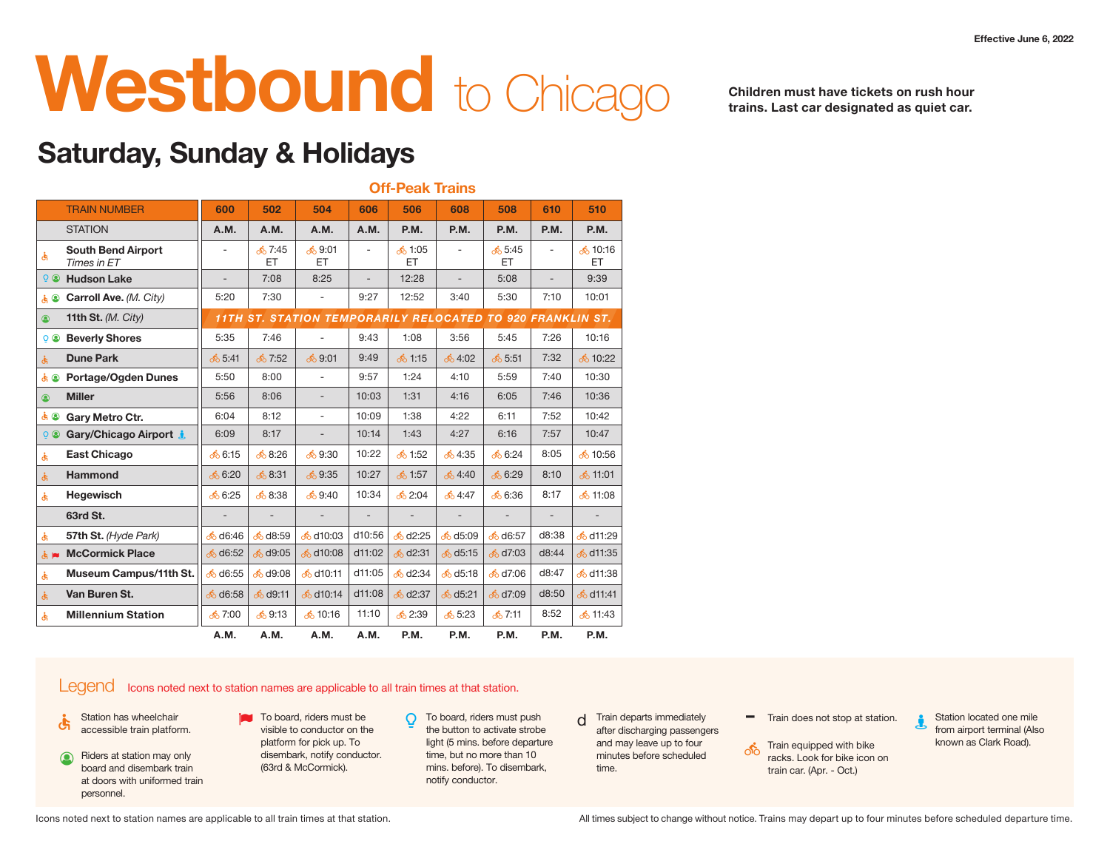## **Westboound** to Chicago **Children must have tickets on rush hour**

**Off-Peak Trains**

**trains. Last car designated as quiet car.**

### **Saturday, Sunday & Holidays**

|                                                       |                     |                    |                             |        | <b>UTT-PEAK ITAINS</b>   |                        |                                                            |               |                         |
|-------------------------------------------------------|---------------------|--------------------|-----------------------------|--------|--------------------------|------------------------|------------------------------------------------------------|---------------|-------------------------|
| <b>TRAIN NUMBER</b>                                   | 600                 | 502                | 504                         | 606    | 506                      | 608                    | 508                                                        | 610           | 510                     |
| <b>STATION</b>                                        | A.M.                | A.M.               | A.M.                        | A.M.   | <b>P.M.</b>              | <b>P.M.</b>            | P.M.                                                       | P.M.          | <b>P.M.</b>             |
| <b>South Bend Airport</b><br>Times in ET              | $\sim$              | ஃ 7:45<br>ET.      | ஃ 9:01<br>ET.               | $\sim$ | ஃ 1:05<br>ET.            | $\sim$                 | ு 5:45<br>ET.                                              |               | ஃ 10:16<br>ET           |
| <b>3</b> Hudson Lake                                  | $\sim$              | 7:08               | 8:25                        | $\sim$ | 12:28                    | $\sim$                 | 5:08                                                       |               | 9:39                    |
| $\mathbf{k} \otimes \mathbf{C}$ arroll Ave. (M. City) | 5:20                | 7:30               | $\sim$                      | 9:27   | 12:52                    | 3:40                   | 5:30                                                       | 7:10          | 10:01                   |
| 11th St. $(M. City)$<br>$\circledcirc$                |                     |                    |                             |        |                          |                        | 11TH ST. STATION TEMPORARILY RELOCATED TO 920 FRANKLIN ST. |               |                         |
| <b>2 &amp; Beverly Shores</b>                         | 5:35                | 7:46               | $\sim$                      | 9:43   | 1:08                     | 3:56                   | 5:45                                                       | 7:26          | 10:16                   |
| <b>Dune Park</b>                                      | 5:41                | 57:52              | <b>်</b> 9:01               | 9:49   | ஃ 1:15                   | 64:02                  | 5:51                                                       | 7:32          | <mark>ა</mark> 10:22    |
| <b>&amp;</b> Portage/Ogden Dunes                      | 5:50                | 8:00               | $\sim$                      | 9:57   | 1:24                     | 4:10                   | 5:59                                                       | 7:40          | 10:30                   |
| <b>Miller</b><br>$\circledcirc$                       | 5:56                | 8:06               | $\sim$                      | 10:03  | 1:31                     | 4:16                   | 6:05                                                       | 7:46          | 10:36                   |
| க் <sup>@</sup> Gary Metro Ctr.                       | 6:04                | 8:12               | $\sim$                      | 10:09  | 1:38                     | 4:22                   | 6:11                                                       | 7:52          | 10:42                   |
| <b>&amp; Gary/Chicago Airport</b>                     | 6:09                | 8:17               | $\sim$                      | 10:14  | 1:43                     | 4:27                   | 6:16                                                       | 7:57          | 10:47                   |
| <b>East Chicago</b>                                   | $\frac{1}{20}$ 6:15 | 68:26              | <b>்</b> 9:30               | 10:22  | ் 1:52                   | 64:35                  | <b>ு6:24</b>                                               | 8:05          | ஃ 10:56                 |
| <b>Hammond</b>                                        | 6:20                | 68:31              | <b>69:35</b>                | 10:27  | $\frac{1}{20}$ 1:57      | 64:40                  | 6:29                                                       | 8:10          | <b>்</b> 11:01          |
| Hegewisch                                             | <u> ර</u> ි. 6:25   | 8:38               | $\frac{1}{20}$ 9:40         | 10:34  | <b>ஃ</b> 2:04            | ஃ 4:47                 | ஃ 6:36                                                     | 8:17          | ஃ 11:08                 |
| 63rd St.                                              | $\sim$              | $\sim$             | $\sim$                      | $\sim$ | $\overline{\phantom{a}}$ | $\sim$                 |                                                            |               |                         |
| 57th St. (Hyde Park)                                  | 6 d6:46             | d8:59              | d10:03                      | d10:56 | $6$ d2:25                | d5:09                  | d6:57                                                      | d8:38         | <mark>ර</mark> ් d11:29 |
| McCormick Place                                       | 66:52               | $\sqrt{9:05}$      | $\frac{1}{2}$ d10:08 d11:02 |        | $6$ d2:31                | $6$ d5:15              | $\sqrt{d}$ 7:03                                            | $\vert$ d8:44 | <mark>்</mark> d11:35   |
| Museum Campus/11th St.                                | 6:55                | d9:08              | <mark>ა</mark> ძ10:11       | d11:05 | $6$ d2:34                | <mark>ර</mark> ් d5:18 | $\frac{1}{6}$ d7:06                                        | $\vert$ d8:47 | <mark>க்</mark> d11:38  |
| Van Buren St.                                         | 6.38                | $6$ d9:11          | $\frac{1}{6}$ d10:14        | d11:08 | $6$ d2:37                | 6d5:21                 | $\frac{1}{6}$ d7:09 $\mid$                                 | $\vert$ d8:50 | <mark>ஃ d11:41</mark>   |
| <b>Millennium Station</b>                             | ஃ 7:00              | $\frac{1}{6}$ 9:13 | ஃ 10:16                     | 11:10  | <b>ு</b> 2:39            | <u>කර</u> ි 5:23       | ஃ 7:11                                                     | 8:52          | ஃ 11:43                 |
|                                                       | A.M.                | A.M.               | A.M.                        | A.M.   | P.M.                     | P.M.                   | P.M.                                                       | P.M.          | P.M.                    |

### Legend Icons noted next to station names are applicable to all train times at that station.

- 
- Riders at station may only board and disembark train at doors with uniformed train personnel.  $\circledcirc$
- $\bullet$  Station has wheelchair **accessible train platform.** To board, riders must be  $\bullet$   $\bullet$  accessible train platform. visible to conductor on the platform for pick up. To disembark, notify conductor. (63rd & McCormick).
	- **O** To board, riders must push the button to activate strobe light (5 mins. before departure time, but no more than 10 mins. before). To disembark, notify conductor.
- $d$  Train departs immediately  $\qquad \qquad \blacksquare$  Train does not stop at station. after discharging passengers and may leave up to four minutes before scheduled time.
	-
	- Train equipped with bike racks. Look for bike icon on train car. (Apr. - Oct.) ௸
- Station located one mile from airport terminal (Also known as Clark Road). į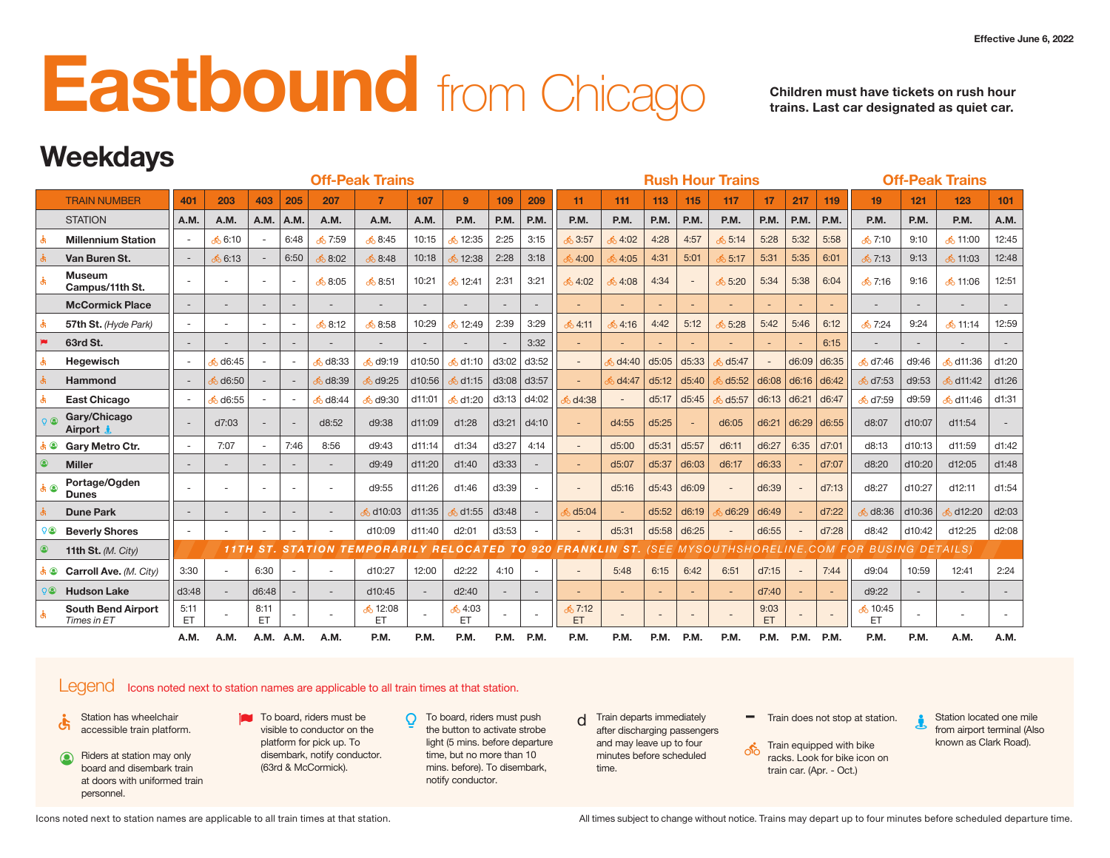## **East bound from Chicago Children must have tickets on rush hour**

**trains. Last car designated as quiet car.**

## **Weekdays**

|                                          |                          |                     |                          |                          |               | <b>Off-Peak Trains</b>                                     |                          |                     |                                           |                     |                          |       |               |                       | <b>Rush Hour Trains</b> |                              |                          |             |                                               |                          | <b>Off-Peak Trains</b>      |               |
|------------------------------------------|--------------------------|---------------------|--------------------------|--------------------------|---------------|------------------------------------------------------------|--------------------------|---------------------|-------------------------------------------|---------------------|--------------------------|-------|---------------|-----------------------|-------------------------|------------------------------|--------------------------|-------------|-----------------------------------------------|--------------------------|-----------------------------|---------------|
| <b>TRAIN NUMBER</b>                      | 401                      | 203                 | 403                      | 205                      | 207           |                                                            | 107                      | $\overline{9}$      | 109                                       | 209                 | 11                       | 111   | 113           | 115                   | 117                     | 17 <sup>2</sup>              | 217                      | 119         | 19 <sup>°</sup>                               | 121                      | 123                         | 101           |
| <b>STATION</b>                           | A.M.                     | A.M.                | A.M.                     | A.M.                     | A.M.          | A.M.                                                       | A.M.                     | P.M.                | <b>P.M.</b>                               | $ $ P.M.            | P.M.                     | P.M.  | <b>P.M.</b>   | <b>P.M.</b>           | P.M.                    | $\vert$ P.M.                 | $ $ P.M.                 | P.M.        | P.M.                                          | P.M.                     | <b>P.M.</b>                 | A.M.          |
| <b>Millennium Station</b>                |                          | 6:10                | $\overline{\phantom{a}}$ | 6:48                     | <u>ේ</u> 7:59 | <b>் 8:45</b>                                              | 10:15                    | 12:35               | 2:25                                      | 3:15                | <b>் 3:57</b>            | ,4:02 | 4:28          | 4:57                  | 65:14                   | 5:28                         | 5:32                     | 5:58        | ஃ 7:10                                        | 9:10                     | க் 11:00                    | 12:45         |
| Van Buren St.                            |                          | <mark>ბ 6:13</mark> |                          | 6:50                     | 8:02          | 68:48                                                      | 10:18                    | 12:38               |                                           | 2:28   3:18         | 34:00                    | 34:05 | 4:31          | 5:01                  | 65:17                   | 5:31                         | 5:35                     | 6:01        | <b>்</b> 7:13                                 | 9:13                     | <b>் 11:03</b>              | 12:48         |
| Museum<br>Campus/11th St.                |                          |                     | $\sim$                   |                          | 8:05          | ஃ 8:51                                                     | 10:21                    | ு 12:41             | 2:31                                      | 3:21                | <b>ீ</b> 4:02            | 64:08 | 4:34          | $\sim$                | 5:20                    | 5:34                         |                          | $5:38$ 6:04 | $\delta$ 7:16                                 | 9:16                     | ் 11:06                     | 12:51         |
| <b>McCormick Place</b>                   |                          |                     | $\sim$                   | $\overline{\phantom{a}}$ |               | $\sim$                                                     | $\sim$                   | $\sim$              | $\sim$                                    | $\sim$              |                          |       |               |                       |                         |                              |                          |             |                                               | $\overline{\phantom{a}}$ | $\sim$                      |               |
| 57th St. (Hyde Park)                     |                          |                     | $\sim$                   | $\sim$                   | 68:12         | 68:58                                                      | 10:29                    | $\frac{1}{2}$ 12:49 | 2:39                                      | 3:29                | $\frac{1}{20}$ 4:11      |       | $64:16$ 4:42  | 5:12                  | 5:28                    | 5:42                         | 5:46                     | 6:12        | ் 7:24                                        | 9:24                     | ஃ 11:14                     | 12:59         |
| 63rd St.                                 |                          |                     | $\sim$                   |                          |               | $\overline{\phantom{a}}$                                   | $\overline{\phantom{a}}$ |                     |                                           | 3:32                |                          |       |               |                       |                         |                              |                          | 6:15        |                                               |                          |                             |               |
| Hegewisch                                |                          | 6:45                |                          |                          | 08:33         | $6$ d9:19                                                  | d10:50                   | $\frac{1}{2}$ d1:10 |                                           | $\vert$ d3:02 d3:52 |                          |       |               | $6$ d4:40 d5:05 d5:33 | 65:47                   | $\sim$                       | d6:09 d6:35              |             | $\frac{1}{2}$ d7:46 d9:46                     |                          | $\frac{1}{20}$ d11:36 d1:20 |               |
| Hammond                                  | $\sim$                   | 06:50               |                          |                          | d8:39         | $6$ d9:25                                                  | $ $ d10:56               |                     | 6 d1:15   d3:08   d3:57                   |                     |                          |       |               | $6$ d4:47 d5:12 d5:40 |                         | 6 d5:52 d6:08 d6:16 d6:42    |                          |             | $\frac{1}{2}$ d7:53 d9:53                     |                          | $\frac{1}{6}$ d11:42 d1:26  |               |
| <b>East Chicago</b>                      |                          | 6:55                |                          |                          | 08:44         | $\frac{1}{2}$ d9:30                                        | d11:01                   |                     | <mark>, 6</mark> d1:20 d3:13 d4:02        |                     | $6$ d4:38                |       |               | d5:17  d5:45          |                         | $6d5:57$ d6:13 d6:21 d6:47   |                          |             | 6d7:59 d9:59                                  |                          | $\frac{1}{20}$ d11:46 d1:31 |               |
| Gary/Chicago<br>Airport &                |                          | d7:03               |                          |                          | d8:52         | d9:38                                                      | $ $ d11:09               | d1:28               |                                           | $ $ d3:21 $ $ d4:10 |                          | d4:55 | $\vert$ d5:25 |                       | d6:05                   | $\vert$ d6:21 d6:29 d6:55    |                          |             | d8:07                                         | d10:07                   | d11:54                      |               |
| <b>S</b> Gary Metro Ctr.                 |                          | 7:07                | $\sim$                   | 7:46                     | 8:56          | d9:43                                                      | d11:14                   | d1:34               |                                           | $ d3:27 $ 4:14      |                          | d5:00 |               | $\vert$ d5:31 d5:57   | d6:11                   | $\vert$ d6:27   6:35   d7:01 |                          |             | d8:13                                         | d10:13                   | d11:59                      | d1:42         |
| <b>Miller</b>                            | $\sim$                   | $-$                 | $\sim$                   | $\overline{\phantom{a}}$ |               | d9:49                                                      | d11:20                   | d1:40               | $ $ d3:33                                 |                     |                          | d5:07 |               | d5:37  d6:03          | d6:17                   | $\vert$ d6:33                |                          | d7:07       | d8:20                                         | d10:20                   | d12:05                      | $\vert$ d1:48 |
| Portage/Ogden<br><b>Dunes</b>            |                          |                     | $\sim$                   |                          |               | d9:55                                                      | d11:26                   | d1:46               | $\vert$ d3:39                             |                     | $\sim$                   | d5:16 |               | $\vert$ d5:43 d6:09   |                         | d6:39                        | $\sim$                   | d7:13       | d8:27                                         | d10:27                   | d12:11                      | d1:54         |
| <b>Dune Park</b>                         | $\overline{\phantom{a}}$ |                     | $\sim$                   |                          |               | $\delta$ d10:03                                            | d11:35                   |                     | $\frac{1}{2}$ d1:55 $\vert$ d3:48 $\vert$ |                     | 605:04                   |       |               | $d5:52$ d6:19         |                         | $\frac{1}{2}$ d6:29 d6:49    |                          | d7:22       | d8:36                                         | $ $ d10:36               | 6d12:20 d2:03               |               |
| <b>Beverly Shores</b>                    |                          |                     | $\sim$                   |                          |               | d10:09                                                     | $ $ d11:40               | d2:01               | $\vert$ d3:53                             |                     |                          | d5:31 | d5:58         | $\vert$ d6:25         |                         | d6:55                        | $\sim$                   | d7:28       | d8:42                                         | d10:42                   | d12:25                      | d2:08         |
| 11th St. $(M. City)$                     |                          |                     |                          |                          |               | 11TH ST. STATION TEMPORARILY RELOCATED TO 920 FRANKLIN ST. |                          |                     |                                           |                     |                          |       |               |                       |                         |                              |                          |             | (SEE MYSOUTHSHORELINE.COM FOR BUSING DETAILS) |                          |                             |               |
| Carroll Ave. (M. City)                   | 3:30                     |                     | 6:30                     |                          |               | d10:27                                                     | 12:00                    | d2:22               | 4:10                                      | $\sim$              | $\overline{\phantom{a}}$ | 5:48  | 6:15          | 6:42                  | 6:51                    | d7:15                        | $\sim$                   | 7:44        | d9:04                                         | 10:59                    | 12:41                       | 2:24          |
| <b>Hudson Lake</b>                       | d3:48                    |                     | $\vert$ d6:48            |                          |               | d10:45                                                     | $\sim$                   | d2:40               | $\sim$                                    | $\sim$              |                          |       | $\sim$        |                       |                         | d7:40                        |                          |             | d9:22                                         | $\sim$                   | $\sim$                      | $\sim$        |
| <b>South Bend Airport</b><br>Times in ET | 5:11<br>ET.              |                     | 8:11<br>ET.              |                          |               | $\frac{1}{2}$ 12:08<br>ET.                                 |                          | 64:03<br>ET.        |                                           |                     | <b>் 7:12</b><br>ET      |       | $\sim$        |                       |                         | 9:03<br>ET.                  | $\overline{\phantom{a}}$ |             | 510:45<br>ET.                                 | ۰.                       | $\sim$                      |               |
|                                          | A.M.                     | <b>A.M.</b>         | A.M. A.M.                |                          | A.M.          | P.M.                                                       | P.M.                     | P.M.                | P.M.                                      | P.M.                | P.M.                     | P.M.  | P.M.          | P.M.                  | P.M.                    | P.M.                         | P.M.                     | P.M.        | P.M.                                          | P.M.                     | A.M.                        | A.M.          |

### Legend Icons noted next to station names are applicable to all train times at that station.

- 
- Riders at station may only board and disembark train at doors with uniformed train personnel.  $\circledcirc$
- $\bullet$  Station has wheelchair **accessible train platform.** To board, riders must be  $\bullet$   $\bullet$  accessible train platform. visible to conductor on the platform for pick up. To disembark, notify conductor. (63rd & McCormick).
	- **O** To board, riders must push the button to activate strobe light (5 mins. before departure time, but no more than 10 mins. before). To disembark, notify conductor.
- $d$  Train departs immediately  $\qquad \qquad \blacksquare$  Train does not stop at station. after discharging passengers and may leave up to four minutes before scheduled time.
	-
	- **Train equipped with bike** racks. Look for bike icon on train car. (Apr. - Oct.)
- Station located one mile from airport terminal (Also known as Clark Road). į